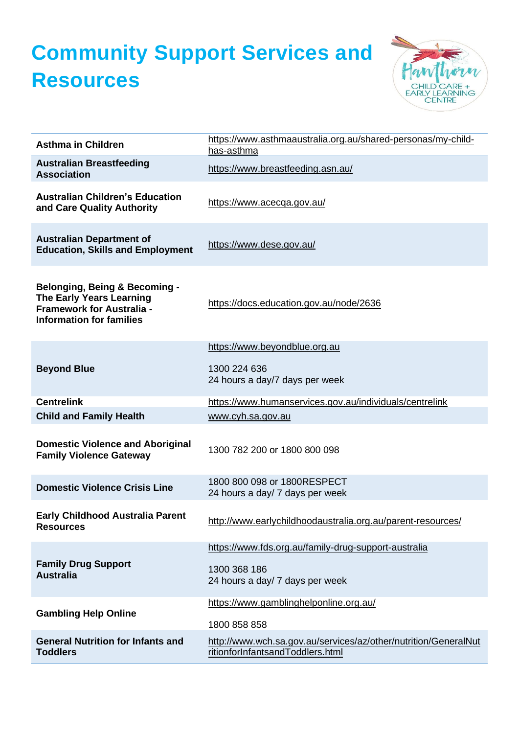## **Community Support Services and Resources**



| <b>Asthma in Children</b>                                                                                                                          | https://www.asthmaaustralia.org.au/shared-personas/my-child-<br>has-asthma                          |
|----------------------------------------------------------------------------------------------------------------------------------------------------|-----------------------------------------------------------------------------------------------------|
| <b>Australian Breastfeeding</b><br><b>Association</b>                                                                                              | https://www.breastfeeding.asn.au/                                                                   |
| <b>Australian Children's Education</b><br>and Care Quality Authority                                                                               | https://www.acecqa.gov.au/                                                                          |
| <b>Australian Department of</b><br><b>Education, Skills and Employment</b>                                                                         | https://www.dese.gov.au/                                                                            |
| <b>Belonging, Being &amp; Becoming -</b><br><b>The Early Years Learning</b><br><b>Framework for Australia -</b><br><b>Information for families</b> | https://docs.education.gov.au/node/2636                                                             |
|                                                                                                                                                    | https://www.beyondblue.org.au                                                                       |
| <b>Beyond Blue</b>                                                                                                                                 | 1300 224 636<br>24 hours a day/7 days per week                                                      |
| <b>Centrelink</b>                                                                                                                                  | https://www.humanservices.gov.au/individuals/centrelink                                             |
| <b>Child and Family Health</b>                                                                                                                     | www.cyh.sa.gov.au                                                                                   |
| <b>Domestic Violence and Aboriginal</b><br><b>Family Violence Gateway</b>                                                                          | 1300 782 200 or 1800 800 098                                                                        |
| <b>Domestic Violence Crisis Line</b>                                                                                                               | 1800 800 098 or 1800RESPECT<br>24 hours a day/ 7 days per week                                      |
| <b>Early Childhood Australia Parent</b><br><b>Resources</b>                                                                                        | http://www.earlychildhoodaustralia.org.au/parent-resources/                                         |
|                                                                                                                                                    | https://www.fds.org.au/family-drug-support-australia                                                |
| <b>Family Drug Support</b><br><b>Australia</b>                                                                                                     | 1300 368 186<br>24 hours a day/ 7 days per week                                                     |
| <b>Gambling Help Online</b>                                                                                                                        | https://www.gamblinghelponline.org.au/                                                              |
|                                                                                                                                                    | 1800 858 858                                                                                        |
| <b>General Nutrition for Infants and</b><br><b>Toddlers</b>                                                                                        | http://www.wch.sa.gov.au/services/az/other/nutrition/GeneralNut<br>ritionforInfantsandToddlers.html |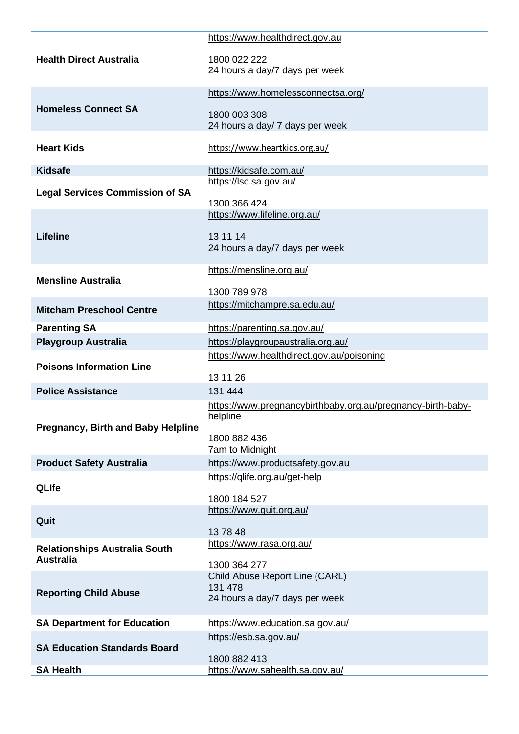|                                           | https://www.healthdirect.gov.au                             |
|-------------------------------------------|-------------------------------------------------------------|
|                                           |                                                             |
| <b>Health Direct Australia</b>            | 1800 022 222<br>24 hours a day/7 days per week              |
|                                           |                                                             |
|                                           | https://www.homelessconnectsa.org/                          |
| <b>Homeless Connect SA</b>                |                                                             |
|                                           | 1800 003 308<br>24 hours a day/ 7 days per week             |
|                                           |                                                             |
| <b>Heart Kids</b>                         | https://www.heartkids.org.au/                               |
| <b>Kidsafe</b>                            | https://kidsafe.com.au/                                     |
|                                           | https://lsc.sa.gov.au/                                      |
| <b>Legal Services Commission of SA</b>    |                                                             |
|                                           | 1300 366 424                                                |
|                                           | https://www.lifeline.org.au/                                |
| <b>Lifeline</b>                           | 13 11 14                                                    |
|                                           | 24 hours a day/7 days per week                              |
|                                           |                                                             |
| <b>Mensline Australia</b>                 | https://mensline.org.au/                                    |
|                                           | 1300 789 978                                                |
| <b>Mitcham Preschool Centre</b>           | https://mitchampre.sa.edu.au/                               |
|                                           |                                                             |
| <b>Parenting SA</b>                       | https://parenting.sa.gov.au/                                |
| <b>Playgroup Australia</b>                | https://playgroupaustralia.org.au/                          |
| <b>Poisons Information Line</b>           | https://www.healthdirect.gov.au/poisoning                   |
|                                           | 13 11 26                                                    |
| <b>Police Assistance</b>                  | 131 444                                                     |
|                                           | https://www.pregnancybirthbaby.org.au/pregnancy-birth-baby- |
|                                           | helpline                                                    |
| <b>Pregnancy, Birth and Baby Helpline</b> | 1800 882 436                                                |
|                                           | 7am to Midnight                                             |
| <b>Product Safety Australia</b>           | https://www.productsafety.gov.au                            |
|                                           | https://qlife.org.au/get-help                               |
| <b>QLIfe</b>                              |                                                             |
|                                           | 1800 184 527<br>https://www.quit.org.au/                    |
| Quit                                      |                                                             |
|                                           | 137848                                                      |
| <b>Relationships Australia South</b>      | https://www.rasa.org.au/                                    |
| <b>Australia</b>                          | 1300 364 277                                                |
|                                           | Child Abuse Report Line (CARL)                              |
| <b>Reporting Child Abuse</b>              | 131 478                                                     |
|                                           | 24 hours a day/7 days per week                              |
| <b>SA Department for Education</b>        | https://www.education.sa.gov.au/                            |
|                                           | https://esb.sa.gov.au/                                      |
| <b>SA Education Standards Board</b>       |                                                             |
|                                           | 1800 882 413                                                |
| <b>SA Health</b>                          | https://www.sahealth.sa.gov.au/                             |